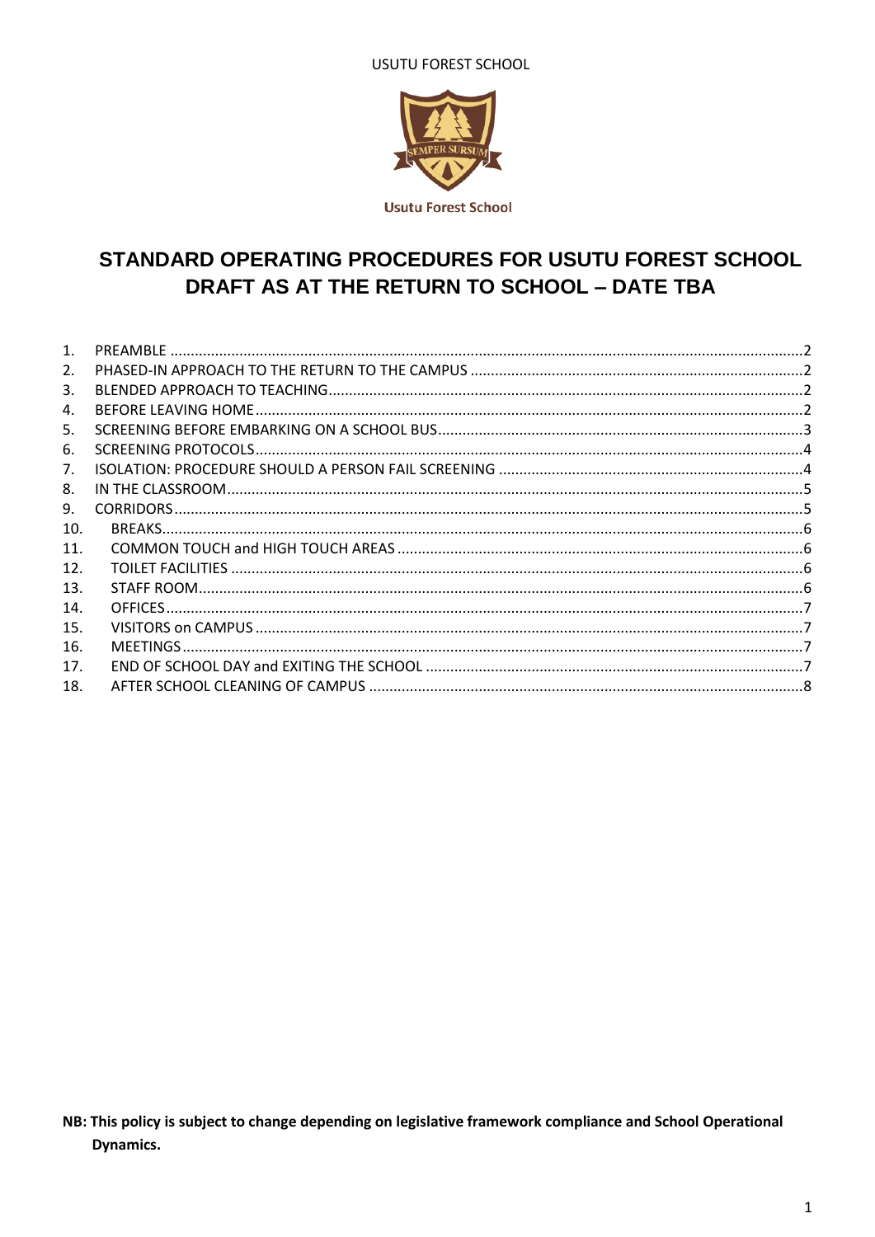**USUTU FOREST SCHOOL** 



# STANDARD OPERATING PROCEDURES FOR USUTU FOREST SCHOOL DRAFT AS AT THE RETURN TO SCHOOL - DATE TBA

| 1.  |  |
|-----|--|
| 2.  |  |
| 3.  |  |
| 4.  |  |
| 5.  |  |
| 6.  |  |
| 7.  |  |
| 8.  |  |
| 9.  |  |
| 10. |  |
| 11. |  |
| 12. |  |
| 13. |  |
| 14. |  |
| 15. |  |
| 16. |  |
| 17. |  |
| 18. |  |

NB: This policy is subject to change depending on legislative framework compliance and School Operational Dynamics.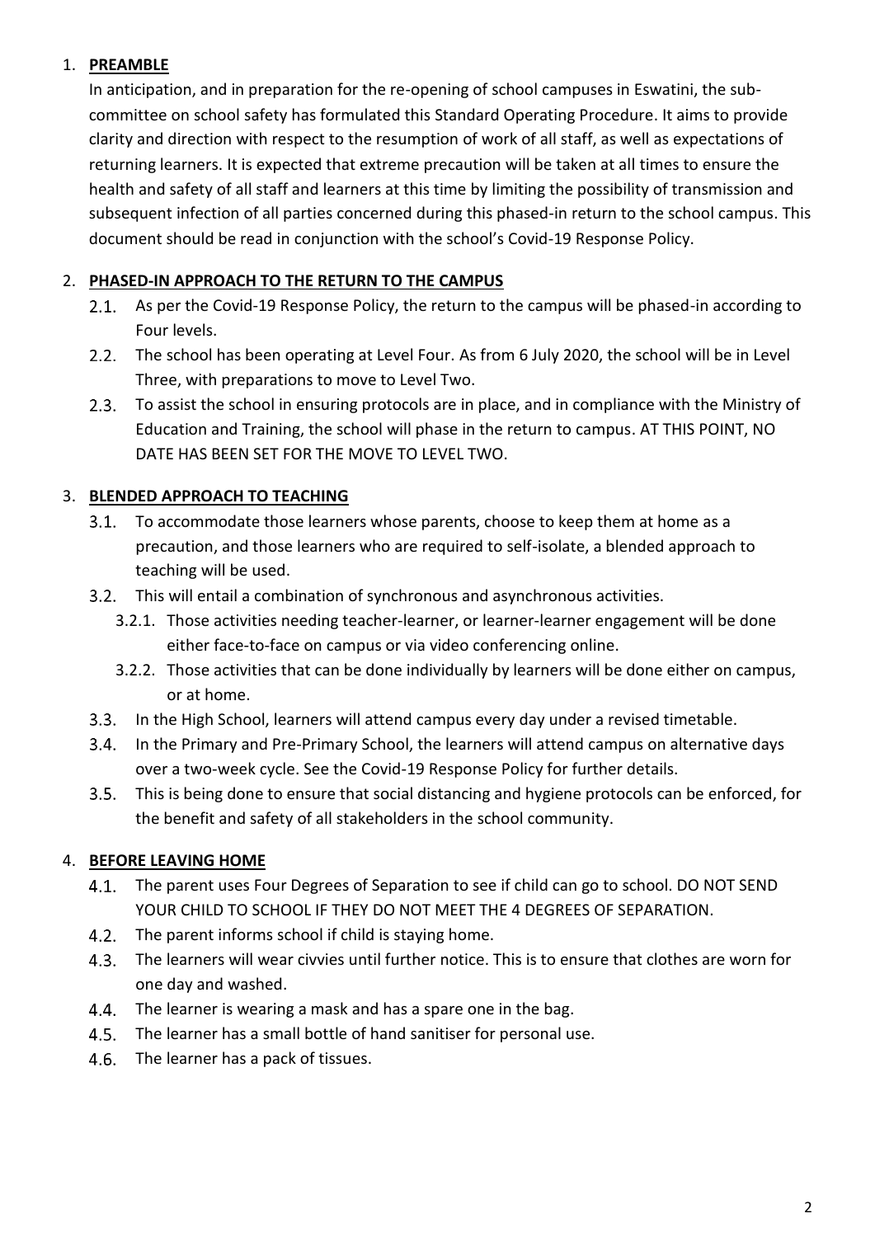# <span id="page-1-0"></span>1. **PREAMBLE**

In anticipation, and in preparation for the re-opening of school campuses in Eswatini, the subcommittee on school safety has formulated this Standard Operating Procedure. It aims to provide clarity and direction with respect to the resumption of work of all staff, as well as expectations of returning learners. It is expected that extreme precaution will be taken at all times to ensure the health and safety of all staff and learners at this time by limiting the possibility of transmission and subsequent infection of all parties concerned during this phased-in return to the school campus. This document should be read in conjunction with the school's Covid-19 Response Policy.

#### <span id="page-1-1"></span>2. **PHASED-IN APPROACH TO THE RETURN TO THE CAMPUS**

- 2.1. As per the Covid-19 Response Policy, the return to the campus will be phased-in according to Four levels.
- 2.2. The school has been operating at Level Four. As from 6 July 2020, the school will be in Level Three, with preparations to move to Level Two.
- 2.3. To assist the school in ensuring protocols are in place, and in compliance with the Ministry of Education and Training, the school will phase in the return to campus. AT THIS POINT, NO DATE HAS BEEN SET FOR THE MOVE TO LEVEL TWO.

# <span id="page-1-2"></span>3. **BLENDED APPROACH TO TEACHING**

- 3.1. To accommodate those learners whose parents, choose to keep them at home as a precaution, and those learners who are required to self-isolate, a blended approach to teaching will be used.
- This will entail a combination of synchronous and asynchronous activities.
	- 3.2.1. Those activities needing teacher-learner, or learner-learner engagement will be done either face-to-face on campus or via video conferencing online.
	- 3.2.2. Those activities that can be done individually by learners will be done either on campus, or at home.
- $3.3.$ In the High School, learners will attend campus every day under a revised timetable.
- $3.4.$ In the Primary and Pre-Primary School, the learners will attend campus on alternative days over a two-week cycle. See the Covid-19 Response Policy for further details.
- 3.5. This is being done to ensure that social distancing and hygiene protocols can be enforced, for the benefit and safety of all stakeholders in the school community.

#### <span id="page-1-3"></span>4. **BEFORE LEAVING HOME**

- The parent uses Four Degrees of Separation to see if child can go to school. DO NOT SEND  $4.1.$ YOUR CHILD TO SCHOOL IF THEY DO NOT MEET THE 4 DEGREES OF SEPARATION.
- 4.2. The parent informs school if child is staying home.
- The learners will wear civvies until further notice. This is to ensure that clothes are worn for one day and washed.
- 4.4. The learner is wearing a mask and has a spare one in the bag.
- 4.5. The learner has a small bottle of hand sanitiser for personal use.
- 4.6. The learner has a pack of tissues.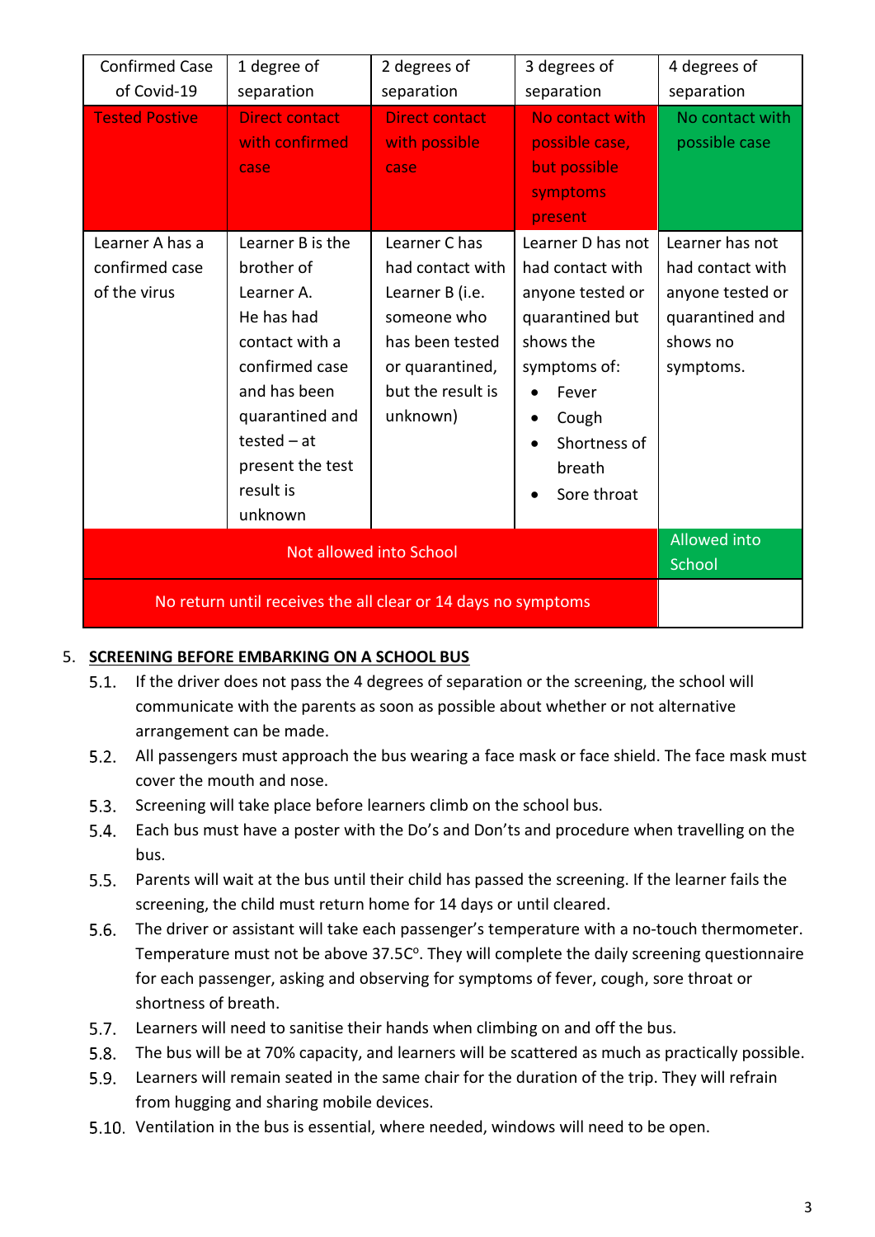| <b>Confirmed Case</b>                                         | 1 degree of                                                                                                                                                                | 2 degrees of                                                                                                              | 3 degrees of                                                                                                                                    | 4 degrees of                                                                     |
|---------------------------------------------------------------|----------------------------------------------------------------------------------------------------------------------------------------------------------------------------|---------------------------------------------------------------------------------------------------------------------------|-------------------------------------------------------------------------------------------------------------------------------------------------|----------------------------------------------------------------------------------|
| of Covid-19                                                   | separation                                                                                                                                                                 | separation                                                                                                                | separation                                                                                                                                      | separation                                                                       |
| <b>Tested Postive</b><br>Learner A has a                      | <b>Direct contact</b><br>with confirmed<br>case<br>Learner B is the                                                                                                        | <b>Direct contact</b><br>with possible<br>case<br>Learner C has                                                           | No contact with<br>possible case,<br>but possible<br>symptoms<br>present<br>Learner D has not                                                   | No contact with<br>possible case<br>Learner has not                              |
| confirmed case<br>of the virus                                | brother of<br>Learner A.<br>He has had<br>contact with a<br>confirmed case<br>and has been<br>quarantined and<br>tested $-$ at<br>present the test<br>result is<br>unknown | had contact with<br>Learner B (i.e.<br>someone who<br>has been tested<br>or quarantined,<br>but the result is<br>unknown) | had contact with<br>anyone tested or<br>quarantined but<br>shows the<br>symptoms of:<br>Fever<br>Cough<br>Shortness of<br>breath<br>Sore throat | had contact with<br>anyone tested or<br>quarantined and<br>shows no<br>symptoms. |
|                                                               | <b>Allowed into</b><br>School                                                                                                                                              |                                                                                                                           |                                                                                                                                                 |                                                                                  |
| No return until receives the all clear or 14 days no symptoms |                                                                                                                                                                            |                                                                                                                           |                                                                                                                                                 |                                                                                  |

#### <span id="page-2-0"></span>5. **SCREENING BEFORE EMBARKING ON A SCHOOL BUS**

- $5.1.$ If the driver does not pass the 4 degrees of separation or the screening, the school will communicate with the parents as soon as possible about whether or not alternative arrangement can be made.
- All passengers must approach the bus wearing a face mask or face shield. The face mask must cover the mouth and nose.
- 5.3. Screening will take place before learners climb on the school bus.
- Each bus must have a poster with the Do's and Don'ts and procedure when travelling on the bus.
- $5.5.$ Parents will wait at the bus until their child has passed the screening. If the learner fails the screening, the child must return home for 14 days or until cleared.
- $5.6.$ The driver or assistant will take each passenger's temperature with a no-touch thermometer. Temperature must not be above 37.5C°. They will complete the daily screening questionnaire for each passenger, asking and observing for symptoms of fever, cough, sore throat or shortness of breath.
- $5.7.$ Learners will need to sanitise their hands when climbing on and off the bus.
- $5.8.$ The bus will be at 70% capacity, and learners will be scattered as much as practically possible.
- $5.9.$ Learners will remain seated in the same chair for the duration of the trip. They will refrain from hugging and sharing mobile devices.
- 5.10. Ventilation in the bus is essential, where needed, windows will need to be open.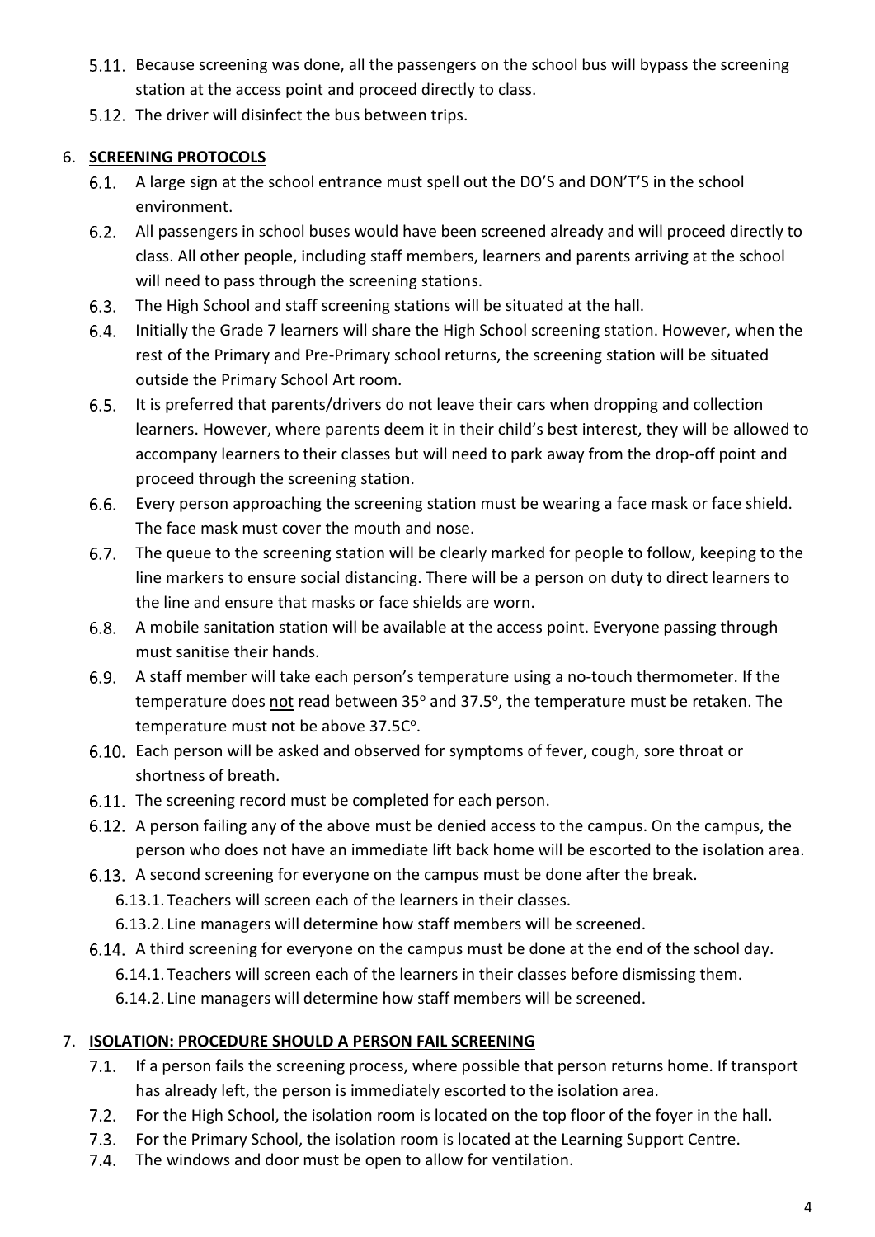- 5.11. Because screening was done, all the passengers on the school bus will bypass the screening station at the access point and proceed directly to class.
- 5.12. The driver will disinfect the bus between trips.

# <span id="page-3-0"></span>6. **SCREENING PROTOCOLS**

- A large sign at the school entrance must spell out the DO'S and DON'T'S in the school environment.
- All passengers in school buses would have been screened already and will proceed directly to class. All other people, including staff members, learners and parents arriving at the school will need to pass through the screening stations.
- The High School and staff screening stations will be situated at the hall.
- $6.4.$ Initially the Grade 7 learners will share the High School screening station. However, when the rest of the Primary and Pre-Primary school returns, the screening station will be situated outside the Primary School Art room.
- $6.5.$ It is preferred that parents/drivers do not leave their cars when dropping and collection learners. However, where parents deem it in their child's best interest, they will be allowed to accompany learners to their classes but will need to park away from the drop-off point and proceed through the screening station.
- $6.6.$ Every person approaching the screening station must be wearing a face mask or face shield. The face mask must cover the mouth and nose.
- $6.7.$ The queue to the screening station will be clearly marked for people to follow, keeping to the line markers to ensure social distancing. There will be a person on duty to direct learners to the line and ensure that masks or face shields are worn.
- $6.8.$ A mobile sanitation station will be available at the access point. Everyone passing through must sanitise their hands.
- $6.9.$ A staff member will take each person's temperature using a no-touch thermometer. If the temperature does not read between 35° and 37.5°, the temperature must be retaken. The temperature must not be above 37.5C°.
- Each person will be asked and observed for symptoms of fever, cough, sore throat or shortness of breath.
- 6.11. The screening record must be completed for each person.
- 6.12. A person failing any of the above must be denied access to the campus. On the campus, the person who does not have an immediate lift back home will be escorted to the isolation area.
- 6.13. A second screening for everyone on the campus must be done after the break.
	- 6.13.1.Teachers will screen each of the learners in their classes.
	- 6.13.2. Line managers will determine how staff members will be screened.
- 6.14. A third screening for everyone on the campus must be done at the end of the school day. 6.14.1.Teachers will screen each of the learners in their classes before dismissing them.
	- 6.14.2. Line managers will determine how staff members will be screened.

# <span id="page-3-1"></span>7. **ISOLATION: PROCEDURE SHOULD A PERSON FAIL SCREENING**

- 7.1. If a person fails the screening process, where possible that person returns home. If transport has already left, the person is immediately escorted to the isolation area.
- $7.2.$ For the High School, the isolation room is located on the top floor of the foyer in the hall.
- $7.3.$ For the Primary School, the isolation room is located at the Learning Support Centre.
- $7.4.$ The windows and door must be open to allow for ventilation.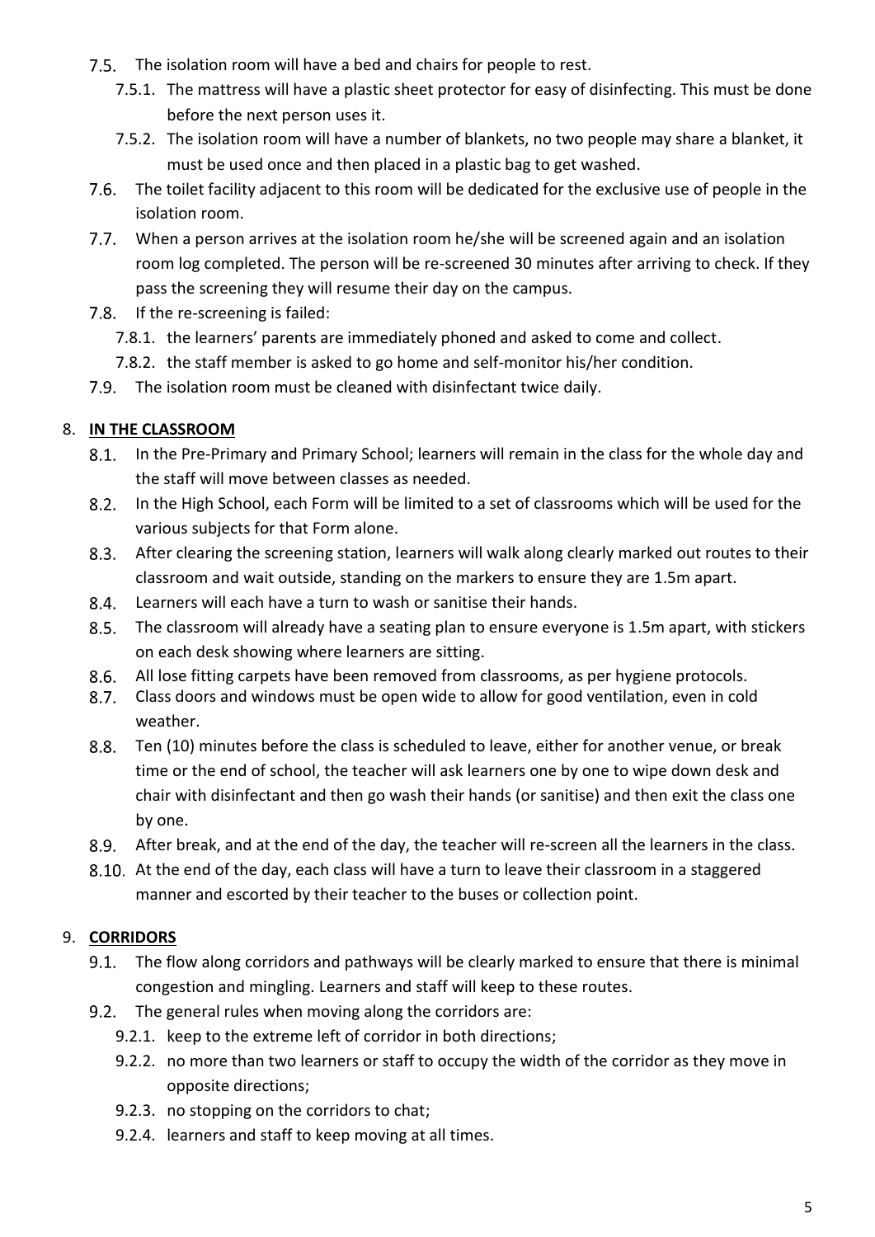- The isolation room will have a bed and chairs for people to rest.
	- 7.5.1. The mattress will have a plastic sheet protector for easy of disinfecting. This must be done before the next person uses it.
	- 7.5.2. The isolation room will have a number of blankets, no two people may share a blanket, it must be used once and then placed in a plastic bag to get washed.
- The toilet facility adjacent to this room will be dedicated for the exclusive use of people in the isolation room.
- When a person arrives at the isolation room he/she will be screened again and an isolation room log completed. The person will be re-screened 30 minutes after arriving to check. If they pass the screening they will resume their day on the campus.
- 7.8. If the re-screening is failed:
	- 7.8.1. the learners' parents are immediately phoned and asked to come and collect.
	- 7.8.2. the staff member is asked to go home and self-monitor his/her condition.
- The isolation room must be cleaned with disinfectant twice daily.

#### <span id="page-4-0"></span>8. **IN THE CLASSROOM**

- 8.1. In the Pre-Primary and Primary School; learners will remain in the class for the whole day and the staff will move between classes as needed.
- In the High School, each Form will be limited to a set of classrooms which will be used for the various subjects for that Form alone.
- $8.3.$ After clearing the screening station, learners will walk along clearly marked out routes to their classroom and wait outside, standing on the markers to ensure they are 1.5m apart.
- $8.4.$ Learners will each have a turn to wash or sanitise their hands.
- $8.5.$ The classroom will already have a seating plan to ensure everyone is 1.5m apart, with stickers on each desk showing where learners are sitting.
- $8.6.$ All lose fitting carpets have been removed from classrooms, as per hygiene protocols.
- $8.7.$ Class doors and windows must be open wide to allow for good ventilation, even in cold weather.
- $8.8.$ Ten (10) minutes before the class is scheduled to leave, either for another venue, or break time or the end of school, the teacher will ask learners one by one to wipe down desk and chair with disinfectant and then go wash their hands (or sanitise) and then exit the class one by one.
- $8.9.$ After break, and at the end of the day, the teacher will re-screen all the learners in the class.
- At the end of the day, each class will have a turn to leave their classroom in a staggered manner and escorted by their teacher to the buses or collection point.

#### <span id="page-4-1"></span>9. **CORRIDORS**

- $9.1.$ The flow along corridors and pathways will be clearly marked to ensure that there is minimal congestion and mingling. Learners and staff will keep to these routes.
- 9.2. The general rules when moving along the corridors are:
	- 9.2.1. keep to the extreme left of corridor in both directions;
	- 9.2.2. no more than two learners or staff to occupy the width of the corridor as they move in opposite directions;
	- 9.2.3. no stopping on the corridors to chat;
	- 9.2.4. learners and staff to keep moving at all times.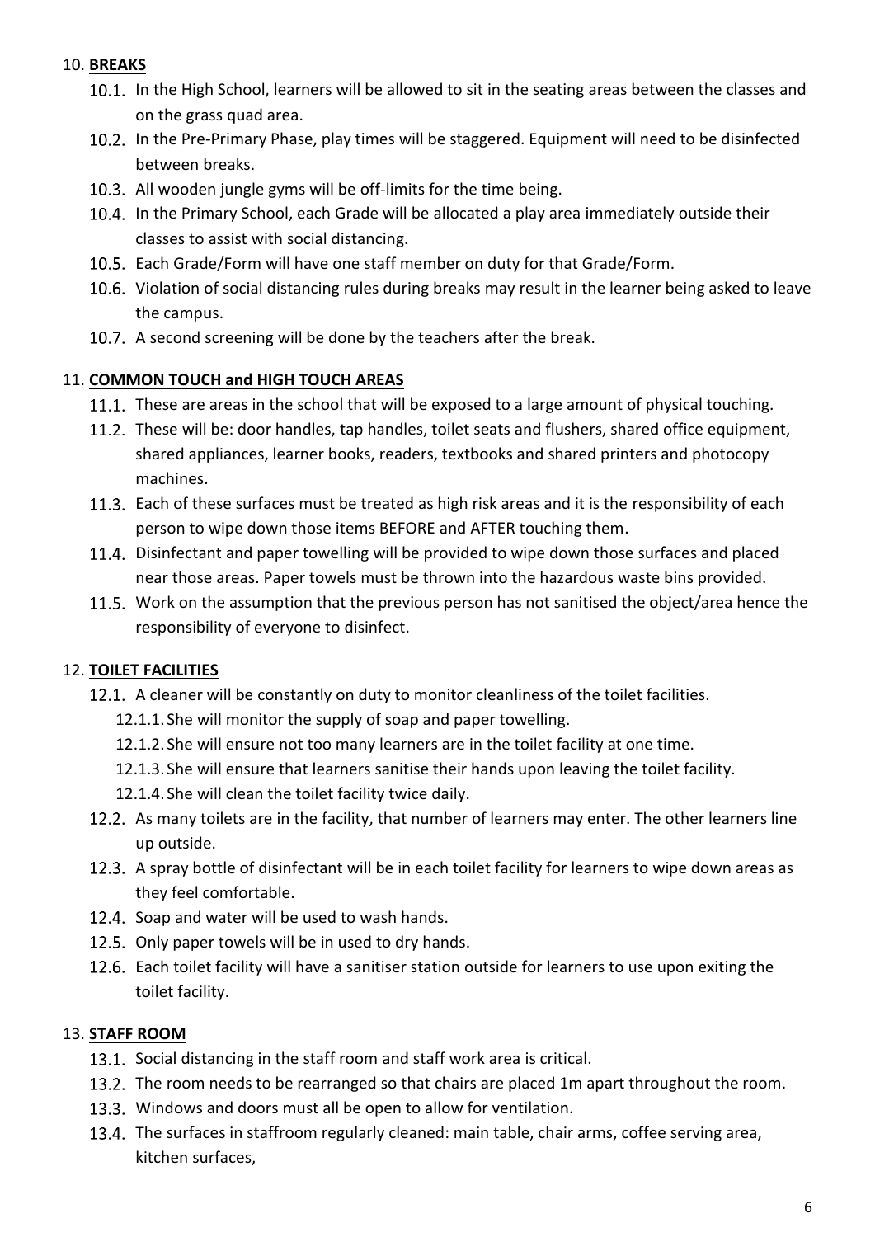#### <span id="page-5-0"></span>10. **BREAKS**

- 10.1. In the High School, learners will be allowed to sit in the seating areas between the classes and on the grass quad area.
- 10.2. In the Pre-Primary Phase, play times will be staggered. Equipment will need to be disinfected between breaks.
- 10.3. All wooden jungle gyms will be off-limits for the time being.
- 10.4. In the Primary School, each Grade will be allocated a play area immediately outside their classes to assist with social distancing.
- Each Grade/Form will have one staff member on duty for that Grade/Form.
- 10.6. Violation of social distancing rules during breaks may result in the learner being asked to leave the campus.
- 10.7. A second screening will be done by the teachers after the break.

#### <span id="page-5-1"></span>11. **COMMON TOUCH and HIGH TOUCH AREAS**

- 11.1. These are areas in the school that will be exposed to a large amount of physical touching.
- 11.2. These will be: door handles, tap handles, toilet seats and flushers, shared office equipment, shared appliances, learner books, readers, textbooks and shared printers and photocopy machines.
- 11.3. Each of these surfaces must be treated as high risk areas and it is the responsibility of each person to wipe down those items BEFORE and AFTER touching them.
- 11.4. Disinfectant and paper towelling will be provided to wipe down those surfaces and placed near those areas. Paper towels must be thrown into the hazardous waste bins provided.
- 11.5. Work on the assumption that the previous person has not sanitised the object/area hence the responsibility of everyone to disinfect.

#### <span id="page-5-2"></span>12. **TOILET FACILITIES**

- 12.1. A cleaner will be constantly on duty to monitor cleanliness of the toilet facilities.
	- 12.1.1. She will monitor the supply of soap and paper towelling.
	- 12.1.2. She will ensure not too many learners are in the toilet facility at one time.
	- 12.1.3. She will ensure that learners sanitise their hands upon leaving the toilet facility.
	- 12.1.4. She will clean the toilet facility twice daily.
- 12.2. As many toilets are in the facility, that number of learners may enter. The other learners line up outside.
- 12.3. A spray bottle of disinfectant will be in each toilet facility for learners to wipe down areas as they feel comfortable.
- 12.4. Soap and water will be used to wash hands.
- 12.5. Only paper towels will be in used to dry hands.
- 12.6. Each toilet facility will have a sanitiser station outside for learners to use upon exiting the toilet facility.

#### <span id="page-5-3"></span>13. **STAFF ROOM**

- 13.1. Social distancing in the staff room and staff work area is critical.
- 13.2. The room needs to be rearranged so that chairs are placed 1m apart throughout the room.
- 13.3. Windows and doors must all be open to allow for ventilation.
- 13.4. The surfaces in staffroom regularly cleaned: main table, chair arms, coffee serving area, kitchen surfaces,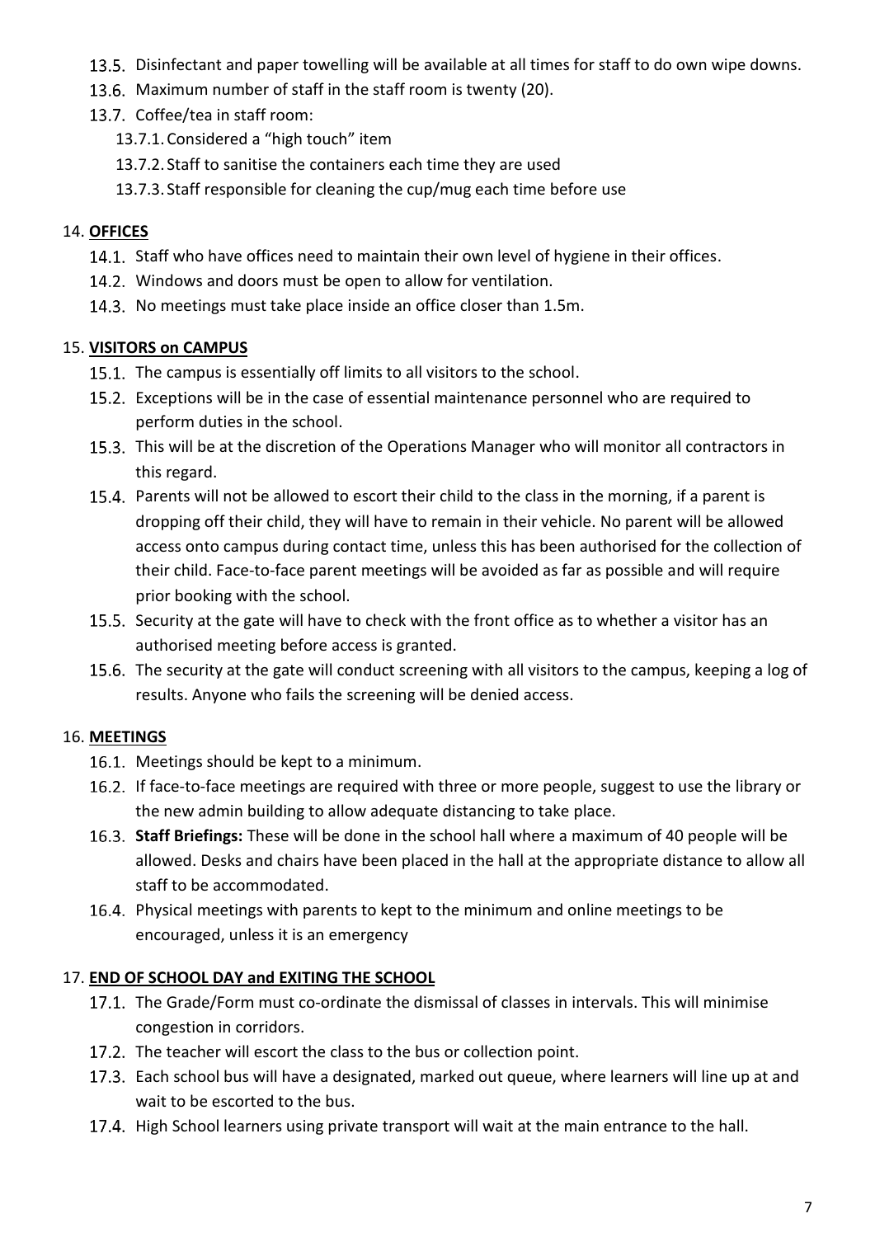- 13.5. Disinfectant and paper towelling will be available at all times for staff to do own wipe downs.
- 13.6. Maximum number of staff in the staff room is twenty (20).
- 13.7. Coffee/tea in staff room:
	- 13.7.1.Considered a "high touch" item
	- 13.7.2. Staff to sanitise the containers each time they are used
	- 13.7.3. Staff responsible for cleaning the cup/mug each time before use

### <span id="page-6-0"></span>14. **OFFICES**

- 14.1. Staff who have offices need to maintain their own level of hygiene in their offices.
- 14.2. Windows and doors must be open to allow for ventilation.
- 14.3. No meetings must take place inside an office closer than 1.5m.

# <span id="page-6-1"></span>15. **VISITORS on CAMPUS**

- 15.1. The campus is essentially off limits to all visitors to the school.
- Exceptions will be in the case of essential maintenance personnel who are required to perform duties in the school.
- 15.3. This will be at the discretion of the Operations Manager who will monitor all contractors in this regard.
- 15.4. Parents will not be allowed to escort their child to the class in the morning, if a parent is dropping off their child, they will have to remain in their vehicle. No parent will be allowed access onto campus during contact time, unless this has been authorised for the collection of their child. Face-to-face parent meetings will be avoided as far as possible and will require prior booking with the school.
- 15.5. Security at the gate will have to check with the front office as to whether a visitor has an authorised meeting before access is granted.
- 15.6. The security at the gate will conduct screening with all visitors to the campus, keeping a log of results. Anyone who fails the screening will be denied access.

# <span id="page-6-2"></span>16. **MEETINGS**

- 16.1. Meetings should be kept to a minimum.
- 16.2. If face-to-face meetings are required with three or more people, suggest to use the library or the new admin building to allow adequate distancing to take place.
- **Staff Briefings:** These will be done in the school hall where a maximum of 40 people will be allowed. Desks and chairs have been placed in the hall at the appropriate distance to allow all staff to be accommodated.
- 16.4. Physical meetings with parents to kept to the minimum and online meetings to be encouraged, unless it is an emergency

# <span id="page-6-3"></span>17. **END OF SCHOOL DAY and EXITING THE SCHOOL**

- 17.1. The Grade/Form must co-ordinate the dismissal of classes in intervals. This will minimise congestion in corridors.
- 17.2. The teacher will escort the class to the bus or collection point.
- 17.3. Each school bus will have a designated, marked out queue, where learners will line up at and wait to be escorted to the bus.
- 17.4. High School learners using private transport will wait at the main entrance to the hall.